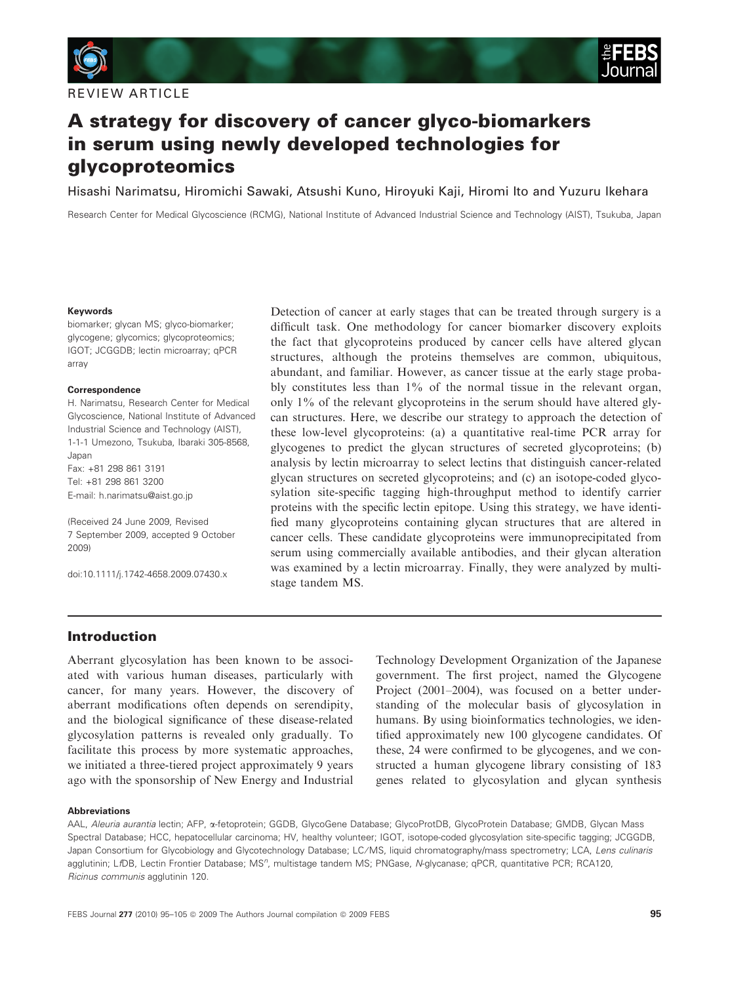

A strategy for discovery of cancer glyco-biomarkers in serum using newly developed technologies for glycoproteomics

Hisashi Narimatsu, Hiromichi Sawaki, Atsushi Kuno, Hiroyuki Kaji, Hiromi Ito and Yuzuru Ikehara

Research Center for Medical Glycoscience (RCMG), National Institute of Advanced Industrial Science and Technology (AIST), Tsukuba, Japan

#### Keywords

biomarker; glycan MS; glyco-biomarker; glycogene; glycomics; glycoproteomics; IGOT; JCGGDB; lectin microarray; qPCR array

#### Correspondence

H. Narimatsu, Research Center for Medical Glycoscience, National Institute of Advanced Industrial Science and Technology (AIST), 1-1-1 Umezono, Tsukuba, Ibaraki 305-8568, Japan Fax: +81 298 861 3191 Tel: +81 298 861 3200 E-mail: h.narimatsu@aist.go.jp

(Received 24 June 2009, Revised 7 September 2009, accepted 9 October 2009)

doi:10.1111/j.1742-4658.2009.07430.x

Detection of cancer at early stages that can be treated through surgery is a difficult task. One methodology for cancer biomarker discovery exploits the fact that glycoproteins produced by cancer cells have altered glycan structures, although the proteins themselves are common, ubiquitous, abundant, and familiar. However, as cancer tissue at the early stage probably constitutes less than 1% of the normal tissue in the relevant organ, only 1% of the relevant glycoproteins in the serum should have altered glycan structures. Here, we describe our strategy to approach the detection of these low-level glycoproteins: (a) a quantitative real-time PCR array for glycogenes to predict the glycan structures of secreted glycoproteins; (b) analysis by lectin microarray to select lectins that distinguish cancer-related glycan structures on secreted glycoproteins; and (c) an isotope-coded glycosylation site-specific tagging high-throughput method to identify carrier proteins with the specific lectin epitope. Using this strategy, we have identified many glycoproteins containing glycan structures that are altered in cancer cells. These candidate glycoproteins were immunoprecipitated from serum using commercially available antibodies, and their glycan alteration was examined by a lectin microarray. Finally, they were analyzed by multistage tandem MS.

### Introduction

Aberrant glycosylation has been known to be associated with various human diseases, particularly with cancer, for many years. However, the discovery of aberrant modifications often depends on serendipity, and the biological significance of these disease-related glycosylation patterns is revealed only gradually. To facilitate this process by more systematic approaches, we initiated a three-tiered project approximately 9 years ago with the sponsorship of New Energy and Industrial Technology Development Organization of the Japanese government. The first project, named the Glycogene Project (2001–2004), was focused on a better understanding of the molecular basis of glycosylation in humans. By using bioinformatics technologies, we identified approximately new 100 glycogene candidates. Of these, 24 were confirmed to be glycogenes, and we constructed a human glycogene library consisting of 183 genes related to glycosylation and glycan synthesis

#### Abbreviations

AAL, Aleuria aurantia lectin; AFP, a-fetoprotein; GGDB, GlycoGene Database; GlycoProtDB, GlycoProtein Database; GMDB, Glycan Mass Spectral Database; HCC, hepatocellular carcinoma; HV, healthy volunteer; IGOT, isotope-coded glycosylation site-specific tagging; JCGGDB, Japan Consortium for Glycobiology and Glycotechnology Database; LC/MS, liquid chromatography/mass spectrometry; LCA, Lens culinaris agglutinin; LfDB, Lectin Frontier Database; MS<sup>n</sup>, multistage tandem MS; PNGase, N-glycanase; qPCR, quantitative PCR; RCA120, Ricinus communis agglutinin 120.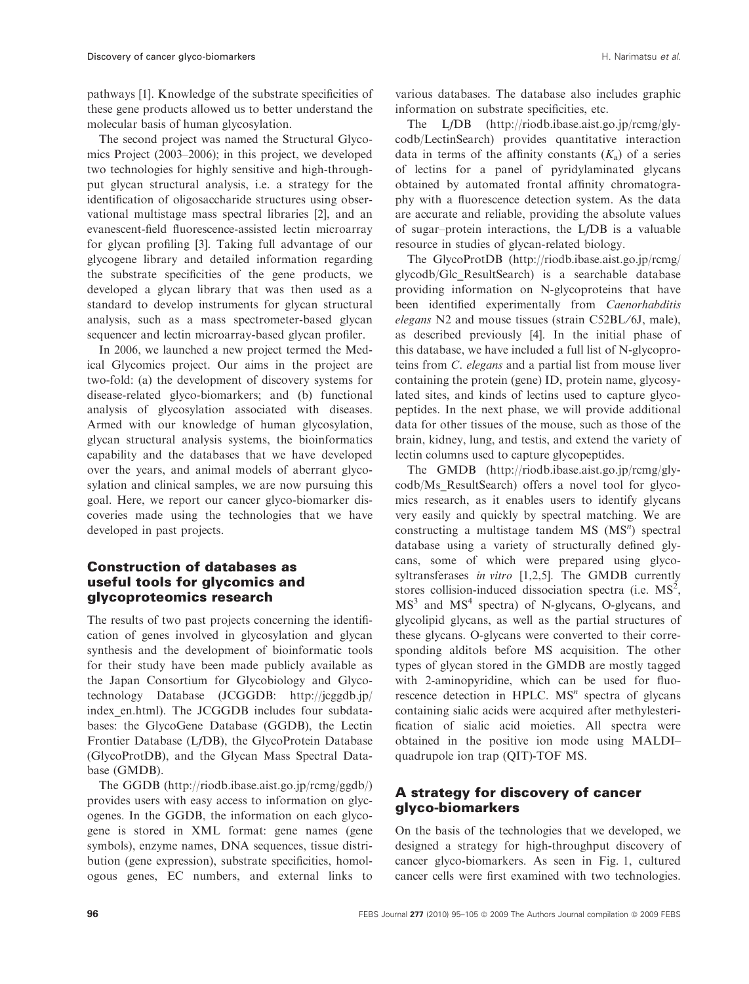pathways [1]. Knowledge of the substrate specificities of these gene products allowed us to better understand the molecular basis of human glycosylation.

The second project was named the Structural Glycomics Project (2003–2006); in this project, we developed two technologies for highly sensitive and high-throughput glycan structural analysis, i.e. a strategy for the identification of oligosaccharide structures using observational multistage mass spectral libraries [2], and an evanescent-field fluorescence-assisted lectin microarray for glycan profiling [3]. Taking full advantage of our glycogene library and detailed information regarding the substrate specificities of the gene products, we developed a glycan library that was then used as a standard to develop instruments for glycan structural analysis, such as a mass spectrometer-based glycan sequencer and lectin microarray-based glycan profiler.

In 2006, we launched a new project termed the Medical Glycomics project. Our aims in the project are two-fold: (a) the development of discovery systems for disease-related glyco-biomarkers; and (b) functional analysis of glycosylation associated with diseases. Armed with our knowledge of human glycosylation, glycan structural analysis systems, the bioinformatics capability and the databases that we have developed over the years, and animal models of aberrant glycosylation and clinical samples, we are now pursuing this goal. Here, we report our cancer glyco-biomarker discoveries made using the technologies that we have developed in past projects.

# Construction of databases as useful tools for glycomics and glycoproteomics research

The results of two past projects concerning the identification of genes involved in glycosylation and glycan synthesis and the development of bioinformatic tools for their study have been made publicly available as the Japan Consortium for Glycobiology and Glycotechnology Database (JCGGDB: http://jcggdb.jp/ index en.html). The JCGGDB includes four subdatabases: the GlycoGene Database (GGDB), the Lectin Frontier Database (LfDB), the GlycoProtein Database (GlycoProtDB), and the Glycan Mass Spectral Database (GMDB).

The GGDB (http://riodb.ibase.aist.go.jp/rcmg/ggdb/) provides users with easy access to information on glycogenes. In the GGDB, the information on each glycogene is stored in XML format: gene names (gene symbols), enzyme names, DNA sequences, tissue distribution (gene expression), substrate specificities, homologous genes, EC numbers, and external links to

various databases. The database also includes graphic information on substrate specificities, etc.

The LfDB (http://riodb.ibase.aist.go.jp/rcmg/glycodb/LectinSearch) provides quantitative interaction data in terms of the affinity constants  $(K_a)$  of a series of lectins for a panel of pyridylaminated glycans obtained by automated frontal affinity chromatography with a fluorescence detection system. As the data are accurate and reliable, providing the absolute values of sugar–protein interactions, the LfDB is a valuable resource in studies of glycan-related biology.

The GlycoProtDB (http://riodb.ibase.aist.go.jp/rcmg/ glycodb/Glc\_ResultSearch) is a searchable database providing information on N-glycoproteins that have been identified experimentally from Caenorhabditis elegans N2 and mouse tissues (strain C52BL/6J, male), as described previously [4]. In the initial phase of this database, we have included a full list of N-glycoproteins from C. elegans and a partial list from mouse liver containing the protein (gene) ID, protein name, glycosylated sites, and kinds of lectins used to capture glycopeptides. In the next phase, we will provide additional data for other tissues of the mouse, such as those of the brain, kidney, lung, and testis, and extend the variety of lectin columns used to capture glycopeptides.

The GMDB (http://riodb.ibase.aist.go.jp/rcmg/glycodb/Ms\_ResultSearch) offers a novel tool for glycomics research, as it enables users to identify glycans very easily and quickly by spectral matching. We are constructing a multistage tandem  $MS$   $(MS<sup>n</sup>)$  spectral database using a variety of structurally defined glycans, some of which were prepared using glycosyltransferases *in vitro* [1,2,5]. The GMDB currently stores collision-induced dissociation spectra (i.e.  $MS<sup>2</sup>$ ,  $MS<sup>3</sup>$  and  $MS<sup>4</sup>$  spectra) of N-glycans, O-glycans, and glycolipid glycans, as well as the partial structures of these glycans. O-glycans were converted to their corresponding alditols before MS acquisition. The other types of glycan stored in the GMDB are mostly tagged with 2-aminopyridine, which can be used for fluorescence detection in HPLC.  $MS<sup>n</sup>$  spectra of glycans containing sialic acids were acquired after methylesterification of sialic acid moieties. All spectra were obtained in the positive ion mode using MALDI– quadrupole ion trap (QIT)-TOF MS.

# A strategy for discovery of cancer glyco-biomarkers

On the basis of the technologies that we developed, we designed a strategy for high-throughput discovery of cancer glyco-biomarkers. As seen in Fig. 1, cultured cancer cells were first examined with two technologies.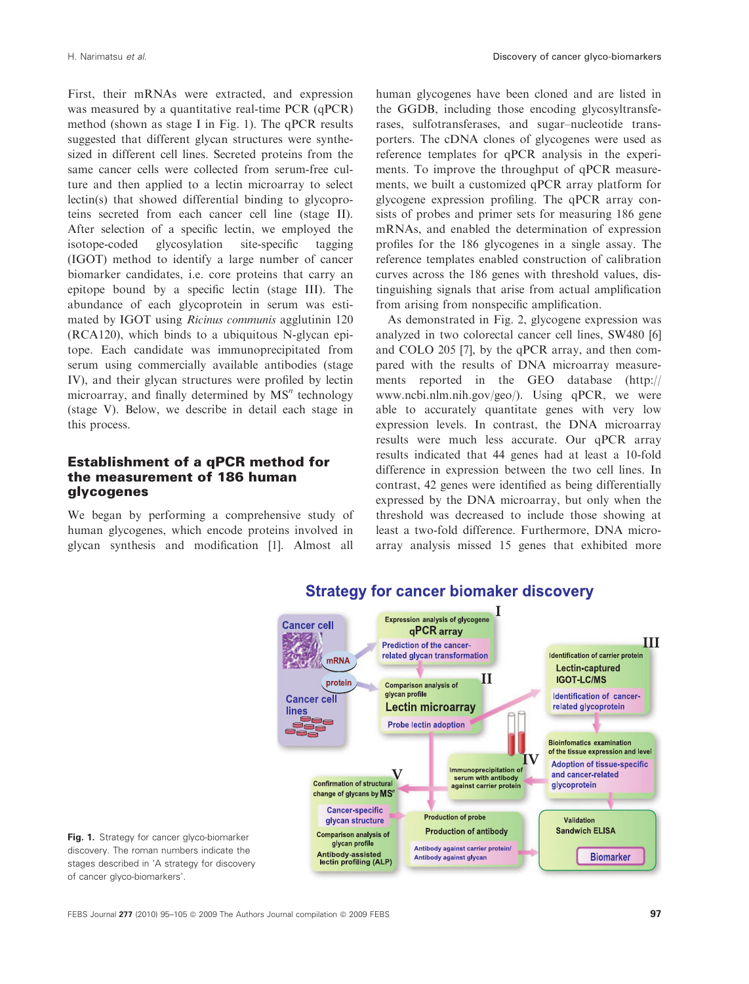First, their mRNAs were extracted, and expression was measured by a quantitative real-time PCR (qPCR) method (shown as stage I in Fig. 1). The qPCR results suggested that different glycan structures were synthesized in different cell lines. Secreted proteins from the same cancer cells were collected from serum-free culture and then applied to a lectin microarray to select lectin(s) that showed differential binding to glycoproteins secreted from each cancer cell line (stage II). After selection of a specific lectin, we employed the isotope-coded glycosylation site-specific tagging (IGOT) method to identify a large number of cancer biomarker candidates, i.e. core proteins that carry an epitope bound by a specific lectin (stage III). The abundance of each glycoprotein in serum was estimated by IGOT using Ricinus communis agglutinin 120 (RCA120), which binds to a ubiquitous N-glycan epitope. Each candidate was immunoprecipitated from serum using commercially available antibodies (stage IV), and their glycan structures were profiled by lectin microarray, and finally determined by  $MS<sup>n</sup>$  technology (stage V). Below, we describe in detail each stage in this process.

## Establishment of a qPCR method for the measurement of 186 human glycogenes

We began by performing a comprehensive study of human glycogenes, which encode proteins involved in glycan synthesis and modification [1]. Almost all human glycogenes have been cloned and are listed in the GGDB, including those encoding glycosyltransferases, sulfotransferases, and sugar–nucleotide transporters. The cDNA clones of glycogenes were used as reference templates for qPCR analysis in the experiments. To improve the throughput of qPCR measurements, we built a customized qPCR array platform for glycogene expression profiling. The qPCR array consists of probes and primer sets for measuring 186 gene mRNAs, and enabled the determination of expression profiles for the 186 glycogenes in a single assay. The reference templates enabled construction of calibration curves across the 186 genes with threshold values, distinguishing signals that arise from actual amplification from arising from nonspecific amplification.

As demonstrated in Fig. 2, glycogene expression was analyzed in two colorectal cancer cell lines, SW480 [6] and COLO 205 [7], by the qPCR array, and then compared with the results of DNA microarray measurements reported in the GEO database (http:// www.ncbi.nlm.nih.gov/geo/). Using qPCR, we were able to accurately quantitate genes with very low expression levels. In contrast, the DNA microarray results were much less accurate. Our qPCR array results indicated that 44 genes had at least a 10-fold difference in expression between the two cell lines. In contrast, 42 genes were identified as being differentially expressed by the DNA microarray, but only when the threshold was decreased to include those showing at least a two-fold difference. Furthermore, DNA microarray analysis missed 15 genes that exhibited more



# **Strategy for cancer biomaker discovery**

Fig. 1. Strategy for cancer glyco-biomarker discovery. The roman numbers indicate the stages described in 'A strategy for discovery of cancer glyco-biomarkers'.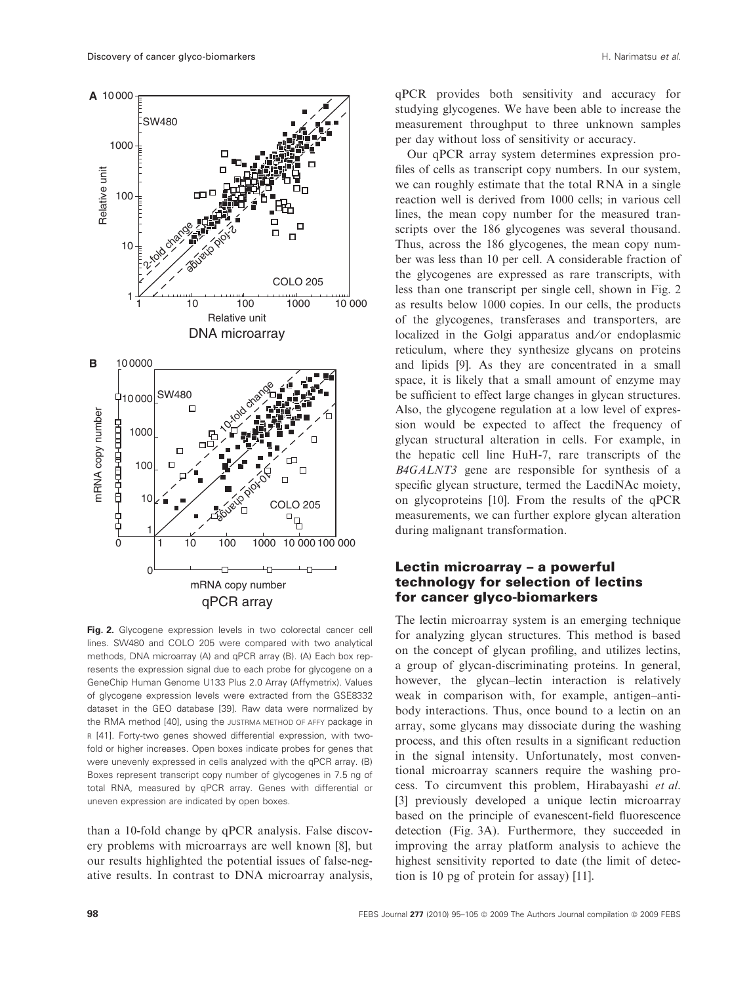**A** 10 000



Fig. 2. Glycogene expression levels in two colorectal cancer cell lines. SW480 and COLO 205 were compared with two analytical methods, DNA microarray (A) and qPCR array (B). (A) Each box represents the expression signal due to each probe for glycogene on a GeneChip Human Genome U133 Plus 2.0 Array (Affymetrix). Values of glycogene expression levels were extracted from the GSE8332 dataset in the GEO database [39]. Raw data were normalized by the RMA method [40], using the JUSTRMA METHOD OF AFFY package in R [41]. Forty-two genes showed differential expression, with twofold or higher increases. Open boxes indicate probes for genes that were unevenly expressed in cells analyzed with the qPCR array. (B) Boxes represent transcript copy number of glycogenes in 7.5 ng of total RNA, measured by qPCR array. Genes with differential or uneven expression are indicated by open boxes.

than a 10-fold change by qPCR analysis. False discovery problems with microarrays are well known [8], but our results highlighted the potential issues of false-negative results. In contrast to DNA microarray analysis,

qPCR provides both sensitivity and accuracy for studying glycogenes. We have been able to increase the measurement throughput to three unknown samples per day without loss of sensitivity or accuracy.

Our qPCR array system determines expression profiles of cells as transcript copy numbers. In our system, we can roughly estimate that the total RNA in a single reaction well is derived from 1000 cells; in various cell lines, the mean copy number for the measured transcripts over the 186 glycogenes was several thousand. Thus, across the 186 glycogenes, the mean copy number was less than 10 per cell. A considerable fraction of the glycogenes are expressed as rare transcripts, with less than one transcript per single cell, shown in Fig. 2 as results below 1000 copies. In our cells, the products of the glycogenes, transferases and transporters, are localized in the Golgi apparatus and/or endoplasmic reticulum, where they synthesize glycans on proteins and lipids [9]. As they are concentrated in a small space, it is likely that a small amount of enzyme may be sufficient to effect large changes in glycan structures. Also, the glycogene regulation at a low level of expression would be expected to affect the frequency of glycan structural alteration in cells. For example, in the hepatic cell line HuH-7, rare transcripts of the B4GALNT3 gene are responsible for synthesis of a specific glycan structure, termed the LacdiNAc moiety, on glycoproteins [10]. From the results of the qPCR measurements, we can further explore glycan alteration during malignant transformation.

## Lectin microarray – a powerful technology for selection of lectins for cancer glyco-biomarkers

The lectin microarray system is an emerging technique for analyzing glycan structures. This method is based on the concept of glycan profiling, and utilizes lectins, a group of glycan-discriminating proteins. In general, however, the glycan–lectin interaction is relatively weak in comparison with, for example, antigen–antibody interactions. Thus, once bound to a lectin on an array, some glycans may dissociate during the washing process, and this often results in a significant reduction in the signal intensity. Unfortunately, most conventional microarray scanners require the washing process. To circumvent this problem, Hirabayashi et al. [3] previously developed a unique lectin microarray based on the principle of evanescent-field fluorescence detection (Fig. 3A). Furthermore, they succeeded in improving the array platform analysis to achieve the highest sensitivity reported to date (the limit of detection is 10 pg of protein for assay) [11].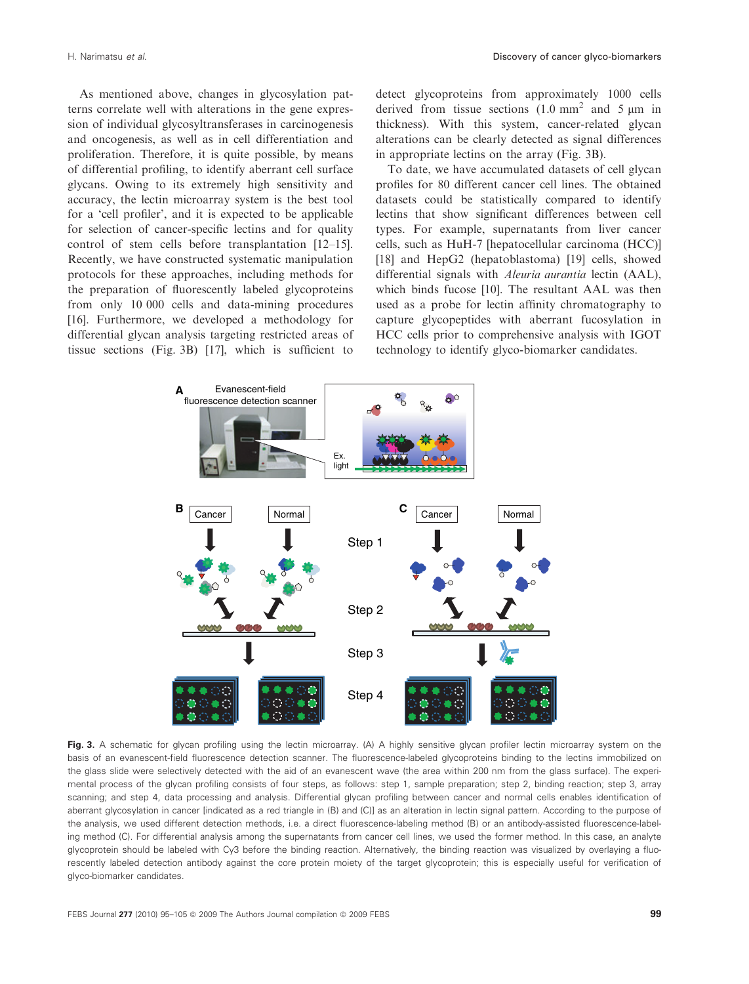As mentioned above, changes in glycosylation patterns correlate well with alterations in the gene expression of individual glycosyltransferases in carcinogenesis and oncogenesis, as well as in cell differentiation and proliferation. Therefore, it is quite possible, by means of differential profiling, to identify aberrant cell surface glycans. Owing to its extremely high sensitivity and accuracy, the lectin microarray system is the best tool for a 'cell profiler', and it is expected to be applicable for selection of cancer-specific lectins and for quality control of stem cells before transplantation [12–15]. Recently, we have constructed systematic manipulation protocols for these approaches, including methods for the preparation of fluorescently labeled glycoproteins from only 10 000 cells and data-mining procedures [16]. Furthermore, we developed a methodology for differential glycan analysis targeting restricted areas of tissue sections (Fig. 3B) [17], which is sufficient to

detect glycoproteins from approximately 1000 cells derived from tissue sections  $(1.0 \text{ mm}^2 \text{ and } 5 \text{ µm} \text{ in}$ thickness). With this system, cancer-related glycan alterations can be clearly detected as signal differences in appropriate lectins on the array (Fig. 3B).

To date, we have accumulated datasets of cell glycan profiles for 80 different cancer cell lines. The obtained datasets could be statistically compared to identify lectins that show significant differences between cell types. For example, supernatants from liver cancer cells, such as HuH-7 [hepatocellular carcinoma (HCC)] [18] and HepG2 (hepatoblastoma) [19] cells, showed differential signals with *Aleuria aurantia* lectin (AAL), which binds fucose [10]. The resultant AAL was then used as a probe for lectin affinity chromatography to capture glycopeptides with aberrant fucosylation in HCC cells prior to comprehensive analysis with IGOT technology to identify glyco-biomarker candidates.



Fig. 3. A schematic for glycan profiling using the lectin microarray. (A) A highly sensitive glycan profiler lectin microarray system on the basis of an evanescent-field fluorescence detection scanner. The fluorescence-labeled glycoproteins binding to the lectins immobilized on the glass slide were selectively detected with the aid of an evanescent wave (the area within 200 nm from the glass surface). The experimental process of the glycan profiling consists of four steps, as follows: step 1, sample preparation; step 2, binding reaction; step 3, array scanning; and step 4, data processing and analysis. Differential glycan profiling between cancer and normal cells enables identification of aberrant glycosylation in cancer [indicated as a red triangle in (B) and (C)] as an alteration in lectin signal pattern. According to the purpose of the analysis, we used different detection methods, i.e. a direct fluorescence-labeling method (B) or an antibody-assisted fluorescence-labeling method (C). For differential analysis among the supernatants from cancer cell lines, we used the former method. In this case, an analyte glycoprotein should be labeled with Cy3 before the binding reaction. Alternatively, the binding reaction was visualized by overlaying a fluorescently labeled detection antibody against the core protein moiety of the target glycoprotein; this is especially useful for verification of glyco-biomarker candidates.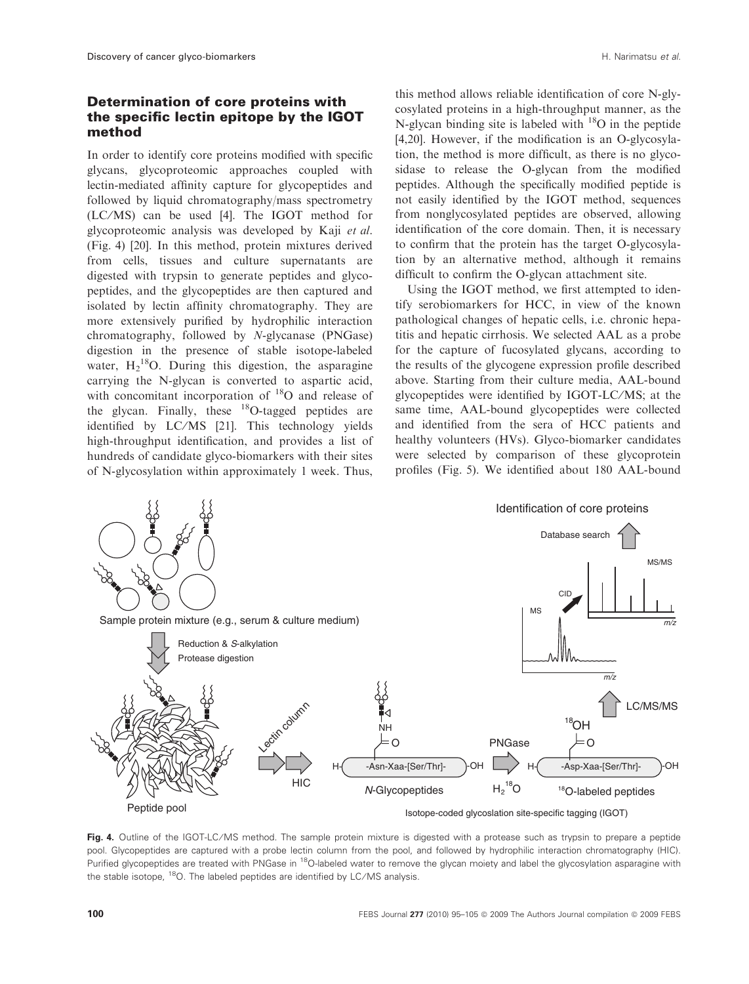## Determination of core proteins with the specific lectin epitope by the IGOT method

In order to identify core proteins modified with specific glycans, glycoproteomic approaches coupled with lectin-mediated affinity capture for glycopeptides and followed by liquid chromatography/mass spectrometry (LC ⁄MS) can be used [4]. The IGOT method for glycoproteomic analysis was developed by Kaji et al. (Fig. 4) [20]. In this method, protein mixtures derived from cells, tissues and culture supernatants are digested with trypsin to generate peptides and glycopeptides, and the glycopeptides are then captured and isolated by lectin affinity chromatography. They are more extensively purified by hydrophilic interaction chromatography, followed by N-glycanase (PNGase) digestion in the presence of stable isotope-labeled water,  $H_2^{18}O$ . During this digestion, the asparagine carrying the N-glycan is converted to aspartic acid, with concomitant incorporation of  $^{18}$ O and release of the glycan. Finally, these  $^{18}$ O-tagged peptides are identified by LC/MS [21]. This technology yields high-throughput identification, and provides a list of hundreds of candidate glyco-biomarkers with their sites of N-glycosylation within approximately 1 week. Thus,

this method allows reliable identification of core N-glycosylated proteins in a high-throughput manner, as the N-glycan binding site is labeled with  $^{18}$ O in the peptide [4,20]. However, if the modification is an O-glycosylation, the method is more difficult, as there is no glycosidase to release the O-glycan from the modified peptides. Although the specifically modified peptide is not easily identified by the IGOT method, sequences from nonglycosylated peptides are observed, allowing identification of the core domain. Then, it is necessary to confirm that the protein has the target O-glycosylation by an alternative method, although it remains difficult to confirm the O-glycan attachment site.

Using the IGOT method, we first attempted to identify serobiomarkers for HCC, in view of the known pathological changes of hepatic cells, i.e. chronic hepatitis and hepatic cirrhosis. We selected AAL as a probe for the capture of fucosylated glycans, according to the results of the glycogene expression profile described above. Starting from their culture media, AAL-bound glycopeptides were identified by IGOT-LC/MS; at the same time, AAL-bound glycopeptides were collected and identified from the sera of HCC patients and healthy volunteers (HVs). Glyco-biomarker candidates were selected by comparison of these glycoprotein profiles (Fig. 5). We identified about 180 AAL-bound



Fig. 4. Outline of the IGOT-LC/MS method. The sample protein mixture is digested with a protease such as trypsin to prepare a peptide pool. Glycopeptides are captured with a probe lectin column from the pool, and followed by hydrophilic interaction chromatography (HIC). Purified glycopeptides are treated with PNGase in <sup>18</sup>O-labeled water to remove the glycan moiety and label the glycosylation asparagine with the stable isotope, <sup>18</sup>O. The labeled peptides are identified by LC/MS analysis.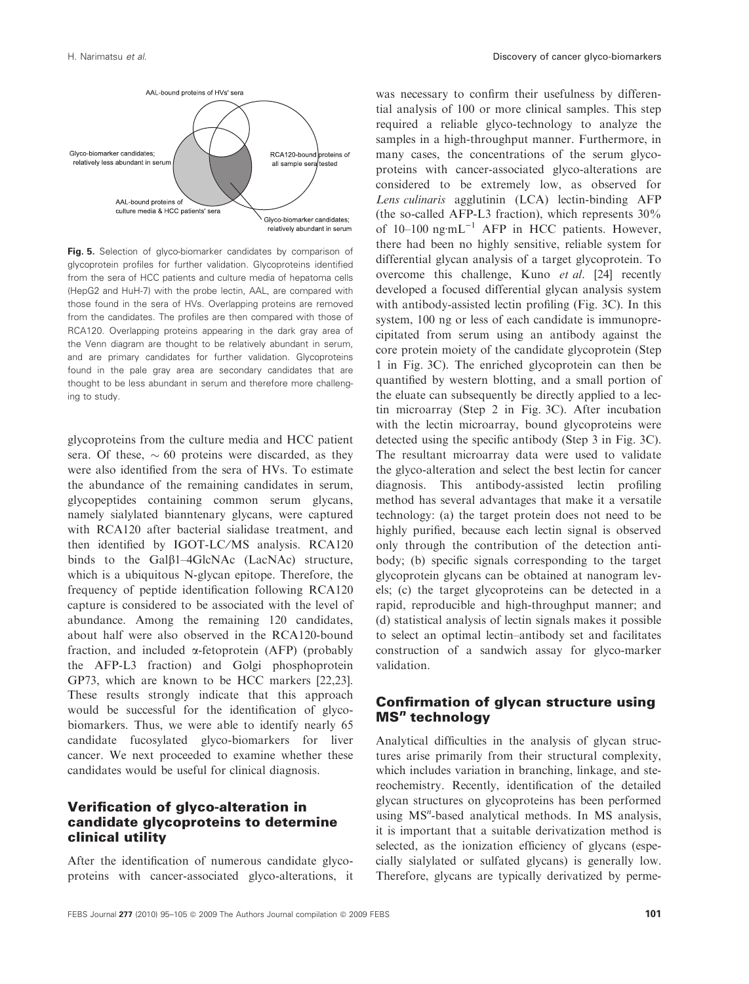

Fig. 5. Selection of glyco-biomarker candidates by comparison of glycoprotein profiles for further validation. Glycoproteins identified from the sera of HCC patients and culture media of hepatoma cells (HepG2 and HuH-7) with the probe lectin, AAL, are compared with those found in the sera of HVs. Overlapping proteins are removed from the candidates. The profiles are then compared with those of RCA120. Overlapping proteins appearing in the dark gray area of the Venn diagram are thought to be relatively abundant in serum, and are primary candidates for further validation. Glycoproteins found in the pale gray area are secondary candidates that are thought to be less abundant in serum and therefore more challenging to study.

glycoproteins from the culture media and HCC patient sera. Of these,  $\sim 60$  proteins were discarded, as they were also identified from the sera of HVs. To estimate the abundance of the remaining candidates in serum, glycopeptides containing common serum glycans, namely sialylated bianntenary glycans, were captured with RCA120 after bacterial sialidase treatment, and then identified by IGOT-LC/MS analysis. RCA120 binds to the Gal $\beta$ 1-4GlcNAc (LacNAc) structure, which is a ubiquitous N-glycan epitope. Therefore, the frequency of peptide identification following RCA120 capture is considered to be associated with the level of abundance. Among the remaining 120 candidates, about half were also observed in the RCA120-bound fraction, and included a-fetoprotein (AFP) (probably the AFP-L3 fraction) and Golgi phosphoprotein GP73, which are known to be HCC markers [22,23]. These results strongly indicate that this approach would be successful for the identification of glycobiomarkers. Thus, we were able to identify nearly 65 candidate fucosylated glyco-biomarkers for liver cancer. We next proceeded to examine whether these candidates would be useful for clinical diagnosis.

## Verification of glyco-alteration in candidate glycoproteins to determine clinical utility

After the identification of numerous candidate glycoproteins with cancer-associated glyco-alterations, it was necessary to confirm their usefulness by differential analysis of 100 or more clinical samples. This step required a reliable glyco-technology to analyze the samples in a high-throughput manner. Furthermore, in many cases, the concentrations of the serum glycoproteins with cancer-associated glyco-alterations are considered to be extremely low, as observed for Lens culinaris agglutinin (LCA) lectin-binding AFP (the so-called AFP-L3 fraction), which represents 30% of  $10-100$  ng·mL<sup>-1</sup> AFP in HCC patients. However, there had been no highly sensitive, reliable system for differential glycan analysis of a target glycoprotein. To overcome this challenge, Kuno et al. [24] recently developed a focused differential glycan analysis system with antibody-assisted lectin profiling (Fig. 3C). In this system, 100 ng or less of each candidate is immunoprecipitated from serum using an antibody against the core protein moiety of the candidate glycoprotein (Step 1 in Fig. 3C). The enriched glycoprotein can then be quantified by western blotting, and a small portion of the eluate can subsequently be directly applied to a lectin microarray (Step 2 in Fig. 3C). After incubation with the lectin microarray, bound glycoproteins were detected using the specific antibody (Step 3 in Fig. 3C). The resultant microarray data were used to validate the glyco-alteration and select the best lectin for cancer diagnosis. This antibody-assisted lectin profiling method has several advantages that make it a versatile technology: (a) the target protein does not need to be highly purified, because each lectin signal is observed only through the contribution of the detection antibody; (b) specific signals corresponding to the target glycoprotein glycans can be obtained at nanogram levels; (c) the target glycoproteins can be detected in a rapid, reproducible and high-throughput manner; and (d) statistical analysis of lectin signals makes it possible to select an optimal lectin–antibody set and facilitates construction of a sandwich assay for glyco-marker validation.

## Confirmation of glycan structure using **MS**<sup>n</sup> technology

Analytical difficulties in the analysis of glycan structures arise primarily from their structural complexity, which includes variation in branching, linkage, and stereochemistry. Recently, identification of the detailed glycan structures on glycoproteins has been performed using MS<sup>n</sup>-based analytical methods. In MS analysis, it is important that a suitable derivatization method is selected, as the ionization efficiency of glycans (especially sialylated or sulfated glycans) is generally low. Therefore, glycans are typically derivatized by perme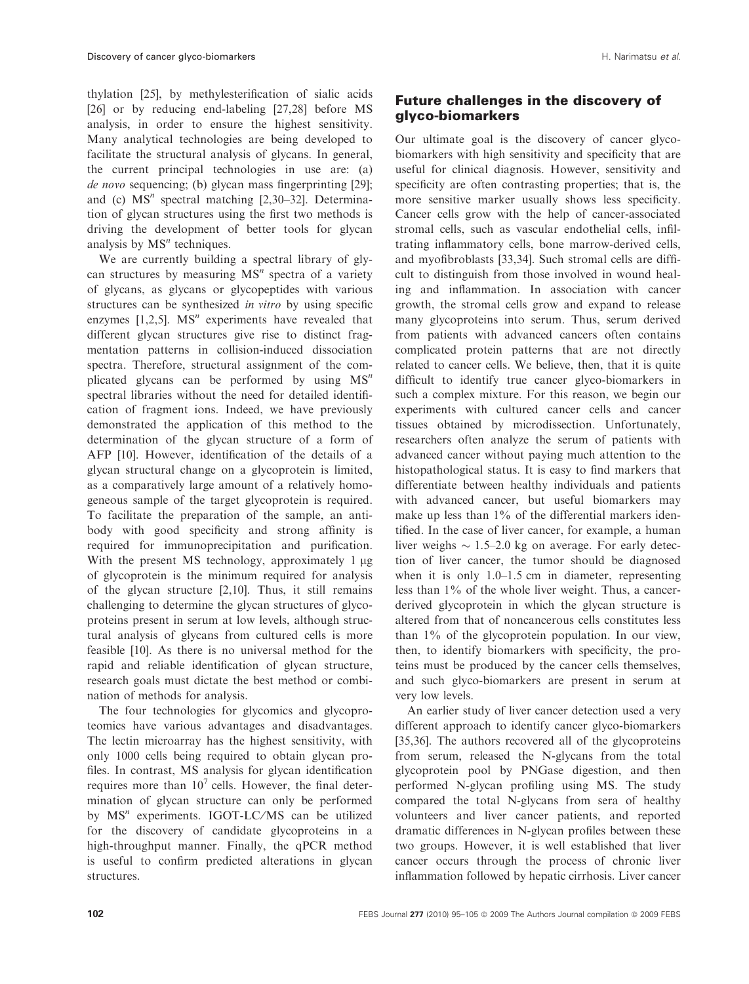thylation [25], by methylesterification of sialic acids [26] or by reducing end-labeling [27,28] before MS analysis, in order to ensure the highest sensitivity. Many analytical technologies are being developed to facilitate the structural analysis of glycans. In general, the current principal technologies in use are: (a) de novo sequencing; (b) glycan mass fingerprinting [29]; and (c)  $MS<sup>n</sup>$  spectral matching [2,30–32]. Determination of glycan structures using the first two methods is driving the development of better tools for glycan analysis by  $MS<sup>n</sup>$  techniques.

We are currently building a spectral library of glycan structures by measuring  $MS<sup>n</sup>$  spectra of a variety of glycans, as glycans or glycopeptides with various structures can be synthesized *in vitro* by using specific enzymes  $[1,2,5]$ . MS<sup>n</sup> experiments have revealed that different glycan structures give rise to distinct fragmentation patterns in collision-induced dissociation spectra. Therefore, structural assignment of the complicated glycans can be performed by using  $MS<sup>n</sup>$ spectral libraries without the need for detailed identification of fragment ions. Indeed, we have previously demonstrated the application of this method to the determination of the glycan structure of a form of AFP [10]. However, identification of the details of a glycan structural change on a glycoprotein is limited, as a comparatively large amount of a relatively homogeneous sample of the target glycoprotein is required. To facilitate the preparation of the sample, an antibody with good specificity and strong affinity is required for immunoprecipitation and purification. With the present MS technology, approximately  $1 \mu$ g of glycoprotein is the minimum required for analysis of the glycan structure [2,10]. Thus, it still remains challenging to determine the glycan structures of glycoproteins present in serum at low levels, although structural analysis of glycans from cultured cells is more feasible [10]. As there is no universal method for the rapid and reliable identification of glycan structure, research goals must dictate the best method or combination of methods for analysis.

The four technologies for glycomics and glycoproteomics have various advantages and disadvantages. The lectin microarray has the highest sensitivity, with only 1000 cells being required to obtain glycan profiles. In contrast, MS analysis for glycan identification requires more than  $10<sup>7</sup>$  cells. However, the final determination of glycan structure can only be performed by  $MS<sup>n</sup>$  experiments. IGOT-LC/MS can be utilized for the discovery of candidate glycoproteins in a high-throughput manner. Finally, the qPCR method is useful to confirm predicted alterations in glycan structures.

## Future challenges in the discovery of glyco-biomarkers

Our ultimate goal is the discovery of cancer glycobiomarkers with high sensitivity and specificity that are useful for clinical diagnosis. However, sensitivity and specificity are often contrasting properties; that is, the more sensitive marker usually shows less specificity. Cancer cells grow with the help of cancer-associated stromal cells, such as vascular endothelial cells, infiltrating inflammatory cells, bone marrow-derived cells, and myofibroblasts [33,34]. Such stromal cells are difficult to distinguish from those involved in wound healing and inflammation. In association with cancer growth, the stromal cells grow and expand to release many glycoproteins into serum. Thus, serum derived from patients with advanced cancers often contains complicated protein patterns that are not directly related to cancer cells. We believe, then, that it is quite difficult to identify true cancer glyco-biomarkers in such a complex mixture. For this reason, we begin our experiments with cultured cancer cells and cancer tissues obtained by microdissection. Unfortunately, researchers often analyze the serum of patients with advanced cancer without paying much attention to the histopathological status. It is easy to find markers that differentiate between healthy individuals and patients with advanced cancer, but useful biomarkers may make up less than 1% of the differential markers identified. In the case of liver cancer, for example, a human liver weighs  $\sim$  1.5–2.0 kg on average. For early detection of liver cancer, the tumor should be diagnosed when it is only 1.0–1.5 cm in diameter, representing less than 1% of the whole liver weight. Thus, a cancerderived glycoprotein in which the glycan structure is altered from that of noncancerous cells constitutes less than 1% of the glycoprotein population. In our view, then, to identify biomarkers with specificity, the proteins must be produced by the cancer cells themselves, and such glyco-biomarkers are present in serum at very low levels.

An earlier study of liver cancer detection used a very different approach to identify cancer glyco-biomarkers [35,36]. The authors recovered all of the glycoproteins from serum, released the N-glycans from the total glycoprotein pool by PNGase digestion, and then performed N-glycan profiling using MS. The study compared the total N-glycans from sera of healthy volunteers and liver cancer patients, and reported dramatic differences in N-glycan profiles between these two groups. However, it is well established that liver cancer occurs through the process of chronic liver inflammation followed by hepatic cirrhosis. Liver cancer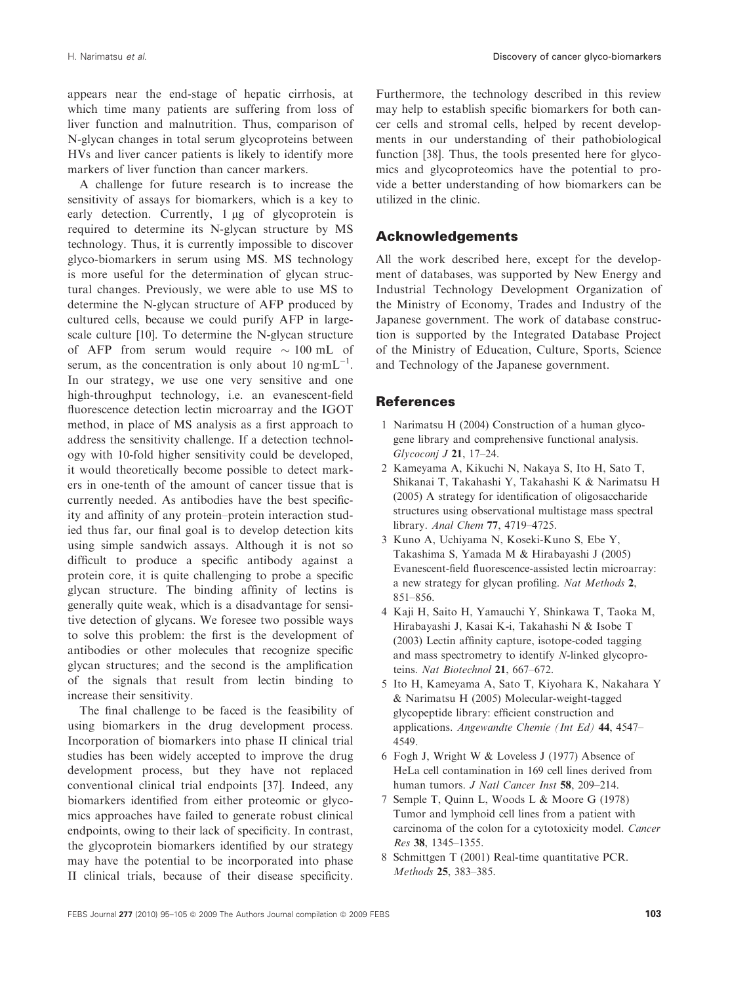appears near the end-stage of hepatic cirrhosis, at which time many patients are suffering from loss of liver function and malnutrition. Thus, comparison of N-glycan changes in total serum glycoproteins between HVs and liver cancer patients is likely to identify more markers of liver function than cancer markers.

A challenge for future research is to increase the sensitivity of assays for biomarkers, which is a key to early detection. Currently,  $1 \mu g$  of glycoprotein is required to determine its N-glycan structure by MS technology. Thus, it is currently impossible to discover glyco-biomarkers in serum using MS. MS technology is more useful for the determination of glycan structural changes. Previously, we were able to use MS to determine the N-glycan structure of AFP produced by cultured cells, because we could purify AFP in largescale culture [10]. To determine the N-glycan structure of AFP from serum would require  $\sim 100 \text{ mL}$  of serum, as the concentration is only about 10  $ng$ mL<sup>-1</sup>. In our strategy, we use one very sensitive and one high-throughput technology, i.e. an evanescent-field fluorescence detection lectin microarray and the IGOT method, in place of MS analysis as a first approach to address the sensitivity challenge. If a detection technology with 10-fold higher sensitivity could be developed, it would theoretically become possible to detect markers in one-tenth of the amount of cancer tissue that is currently needed. As antibodies have the best specificity and affinity of any protein–protein interaction studied thus far, our final goal is to develop detection kits using simple sandwich assays. Although it is not so difficult to produce a specific antibody against a protein core, it is quite challenging to probe a specific glycan structure. The binding affinity of lectins is generally quite weak, which is a disadvantage for sensitive detection of glycans. We foresee two possible ways to solve this problem: the first is the development of antibodies or other molecules that recognize specific glycan structures; and the second is the amplification of the signals that result from lectin binding to increase their sensitivity.

The final challenge to be faced is the feasibility of using biomarkers in the drug development process. Incorporation of biomarkers into phase II clinical trial studies has been widely accepted to improve the drug development process, but they have not replaced conventional clinical trial endpoints [37]. Indeed, any biomarkers identified from either proteomic or glycomics approaches have failed to generate robust clinical endpoints, owing to their lack of specificity. In contrast, the glycoprotein biomarkers identified by our strategy may have the potential to be incorporated into phase II clinical trials, because of their disease specificity.

Furthermore, the technology described in this review may help to establish specific biomarkers for both cancer cells and stromal cells, helped by recent developments in our understanding of their pathobiological function [38]. Thus, the tools presented here for glycomics and glycoproteomics have the potential to provide a better understanding of how biomarkers can be utilized in the clinic.

### Acknowledgements

All the work described here, except for the development of databases, was supported by New Energy and Industrial Technology Development Organization of the Ministry of Economy, Trades and Industry of the Japanese government. The work of database construction is supported by the Integrated Database Project of the Ministry of Education, Culture, Sports, Science and Technology of the Japanese government.

#### **References**

- 1 Narimatsu H (2004) Construction of a human glycogene library and comprehensive functional analysis. Glycoconj J 21, 17–24.
- 2 Kameyama A, Kikuchi N, Nakaya S, Ito H, Sato T, Shikanai T, Takahashi Y, Takahashi K & Narimatsu H (2005) A strategy for identification of oligosaccharide structures using observational multistage mass spectral library. Anal Chem 77, 4719–4725.
- 3 Kuno A, Uchiyama N, Koseki-Kuno S, Ebe Y, Takashima S, Yamada M & Hirabayashi J (2005) Evanescent-field fluorescence-assisted lectin microarray: a new strategy for glycan profiling. Nat Methods 2, 851–856.
- 4 Kaji H, Saito H, Yamauchi Y, Shinkawa T, Taoka M, Hirabayashi J, Kasai K-i, Takahashi N & Isobe T (2003) Lectin affinity capture, isotope-coded tagging and mass spectrometry to identify N-linked glycoproteins. Nat Biotechnol 21, 667–672.
- 5 Ito H, Kameyama A, Sato T, Kiyohara K, Nakahara Y & Narimatsu H (2005) Molecular-weight-tagged glycopeptide library: efficient construction and applications. Angewandte Chemie (Int Ed) 44, 4547– 4549.
- 6 Fogh J, Wright W & Loveless J (1977) Absence of HeLa cell contamination in 169 cell lines derived from human tumors. *J Natl Cancer Inst* 58, 209-214.
- 7 Semple T, Quinn L, Woods L & Moore G (1978) Tumor and lymphoid cell lines from a patient with carcinoma of the colon for a cytotoxicity model. Cancer Res 38, 1345–1355.
- 8 Schmittgen T (2001) Real-time quantitative PCR. Methods 25, 383–385.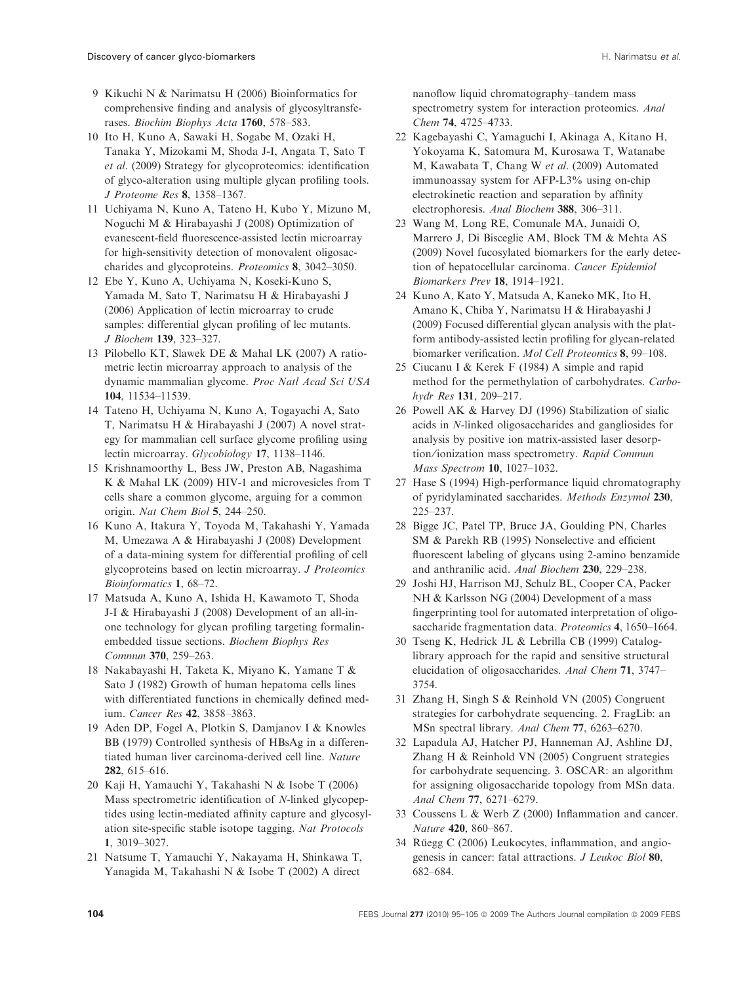- 9 Kikuchi N & Narimatsu H (2006) Bioinformatics for comprehensive finding and analysis of glycosyltransferases. Biochim Biophys Acta 1760, 578–583.
- 10 Ito H, Kuno A, Sawaki H, Sogabe M, Ozaki H, Tanaka Y, Mizokami M, Shoda J-I, Angata T, Sato T et al. (2009) Strategy for glycoproteomics: identification of glyco-alteration using multiple glycan profiling tools. J Proteome Res 8, 1358–1367.
- 11 Uchiyama N, Kuno A, Tateno H, Kubo Y, Mizuno M, Noguchi M & Hirabayashi J (2008) Optimization of evanescent-field fluorescence-assisted lectin microarray for high-sensitivity detection of monovalent oligosaccharides and glycoproteins. Proteomics 8, 3042–3050.
- 12 Ebe Y, Kuno A, Uchiyama N, Koseki-Kuno S, Yamada M, Sato T, Narimatsu H & Hirabayashi J (2006) Application of lectin microarray to crude samples: differential glycan profiling of lec mutants. J Biochem 139, 323–327.
- 13 Pilobello KT, Slawek DE & Mahal LK (2007) A ratiometric lectin microarray approach to analysis of the dynamic mammalian glycome. Proc Natl Acad Sci USA 104, 11534–11539.
- 14 Tateno H, Uchiyama N, Kuno A, Togayachi A, Sato T, Narimatsu H & Hirabayashi J (2007) A novel strategy for mammalian cell surface glycome profiling using lectin microarray. Glycobiology 17, 1138–1146.
- 15 Krishnamoorthy L, Bess JW, Preston AB, Nagashima K & Mahal LK (2009) HIV-1 and microvesicles from T cells share a common glycome, arguing for a common origin. Nat Chem Biol 5, 244–250.
- 16 Kuno A, Itakura Y, Toyoda M, Takahashi Y, Yamada M, Umezawa A & Hirabayashi J (2008) Development of a data-mining system for differential profiling of cell glycoproteins based on lectin microarray. J Proteomics Bioinformatics 1, 68–72.
- 17 Matsuda A, Kuno A, Ishida H, Kawamoto T, Shoda J-I & Hirabayashi J (2008) Development of an all-inone technology for glycan profiling targeting formalinembedded tissue sections. Biochem Biophys Res Commun 370, 259–263.
- 18 Nakabayashi H, Taketa K, Miyano K, Yamane T & Sato J (1982) Growth of human hepatoma cells lines with differentiated functions in chemically defined medium. Cancer Res 42, 3858–3863.
- 19 Aden DP, Fogel A, Plotkin S, Damjanov I & Knowles BB (1979) Controlled synthesis of HBsAg in a differentiated human liver carcinoma-derived cell line. Nature 282, 615–616.
- 20 Kaji H, Yamauchi Y, Takahashi N & Isobe T (2006) Mass spectrometric identification of N-linked glycopeptides using lectin-mediated affinity capture and glycosylation site-specific stable isotope tagging. Nat Protocols 1, 3019–3027.
- 21 Natsume T, Yamauchi Y, Nakayama H, Shinkawa T, Yanagida M, Takahashi N & Isobe T (2002) A direct

nanoflow liquid chromatography–tandem mass spectrometry system for interaction proteomics. Anal Chem 74, 4725–4733.

- 22 Kagebayashi C, Yamaguchi I, Akinaga A, Kitano H, Yokoyama K, Satomura M, Kurosawa T, Watanabe M, Kawabata T, Chang W et al. (2009) Automated immunoassay system for AFP-L3% using on-chip electrokinetic reaction and separation by affinity electrophoresis. Anal Biochem 388, 306–311.
- 23 Wang M, Long RE, Comunale MA, Junaidi O, Marrero J, Di Bisceglie AM, Block TM & Mehta AS (2009) Novel fucosylated biomarkers for the early detection of hepatocellular carcinoma. Cancer Epidemiol Biomarkers Prev 18, 1914–1921.
- 24 Kuno A, Kato Y, Matsuda A, Kaneko MK, Ito H, Amano K, Chiba Y, Narimatsu H & Hirabayashi J (2009) Focused differential glycan analysis with the platform antibody-assisted lectin profiling for glycan-related biomarker verification. Mol Cell Proteomics 8, 99–108.
- 25 Ciucanu I & Kerek F (1984) A simple and rapid method for the permethylation of carbohydrates. Carbohydr Res 131, 209–217.
- 26 Powell AK & Harvey DJ (1996) Stabilization of sialic acids in N-linked oligosaccharides and gangliosides for analysis by positive ion matrix-assisted laser desorption/ionization mass spectrometry. Rapid Commun Mass Spectrom 10, 1027–1032.
- 27 Hase S (1994) High-performance liquid chromatography of pyridylaminated saccharides. Methods Enzymol 230, 225–237.
- 28 Bigge JC, Patel TP, Bruce JA, Goulding PN, Charles SM & Parekh RB (1995) Nonselective and efficient fluorescent labeling of glycans using 2-amino benzamide and anthranilic acid. Anal Biochem 230, 229–238.
- 29 Joshi HJ, Harrison MJ, Schulz BL, Cooper CA, Packer NH & Karlsson NG (2004) Development of a mass fingerprinting tool for automated interpretation of oligosaccharide fragmentation data. Proteomics 4, 1650–1664.
- 30 Tseng K, Hedrick JL & Lebrilla CB (1999) Cataloglibrary approach for the rapid and sensitive structural elucidation of oligosaccharides. Anal Chem 71, 3747– 3754.
- 31 Zhang H, Singh S & Reinhold VN (2005) Congruent strategies for carbohydrate sequencing. 2. FragLib: an MSn spectral library. Anal Chem 77, 6263–6270.
- 32 Lapadula AJ, Hatcher PJ, Hanneman AJ, Ashline DJ, Zhang H & Reinhold VN (2005) Congruent strategies for carbohydrate sequencing. 3. OSCAR: an algorithm for assigning oligosaccharide topology from MSn data. Anal Chem 77, 6271–6279.
- 33 Coussens L & Werb Z (2000) Inflammation and cancer. Nature 420, 860–867.
- $34$  Rüegg C (2006) Leukocytes, inflammation, and angiogenesis in cancer: fatal attractions. J Leukoc Biol 80, 682–684.